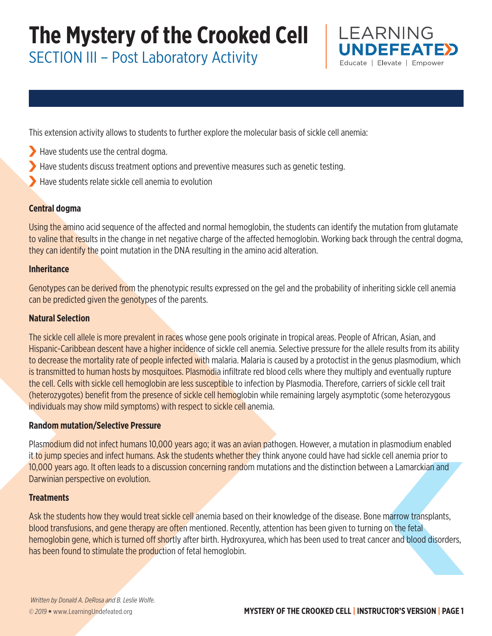SECTION III – Post Laboratory Activity



This extension activity allows to students to further explore the molecular basis of sickle cell anemia:

- Have students use the central dogma.
- Have students discuss treatment options and preventive measures such as genetic testing.
- Have students relate sickle cell anemia to evolution

### **Central dogma**

Using the amino acid sequence of the affected and normal hemoglobin, the students can identify the mutation from glutamate to valine that results in the change in net negative charge of the affected hemoglobin. Working back through the central dogma, they can identify the point mutation in the DNA resulting in the amino acid alteration.

### **Inheritance**

Genotypes can be derived from the phenotypic results expressed on the gel and the probability of inheriting sickle cell anemia can be predicted given the genotypes of the parents.

### **Natural Selection**

The sickle cell allele is more prevalent in races whose gene pools originate in tropical areas. People of African, Asian, and Hispanic-Caribbean descent have a higher incidence of sickle cell anemia. Selective pressure for the allele results from its ability to decrease the mortality rate of people infected with malaria. Malaria is caused by a protoctist in the genus plasmodium, which is transmitted to human hosts by mosquitoes. Plasmodia infiltrate red blood cells where they multiply and eventually rupture the cell. Cells with sickle cell hemoglobin are less susceptible to infection by Plasmodia. Therefore, carriers of sickle cell trait (heterozygotes) benefit from the presence of sickle cell hemoglobin while remaining largely asymptotic (some heterozygous individuals may show mild symptoms) with respect to sickle cell anemia.

#### **Random mutation/Selective Pressure**

Plasmodium did not infect humans 10,000 years ago; it was an avian pathogen. However, a mutation in plasmodium enabled it to jump species and infect humans. Ask the students whether they think anyone could have had sickle cell anemia prior to 10,000 years ago. It often leads to a discussion concerning random mutations and the distinction between a Lamarckian and Darwinian perspective on evolution.

#### **Treatments**

Ask the students how they would treat sickle cell anemia based on their knowledge of the disease. Bone marrow transplants, blood transfusions, and gene therapy are often mentioned. Recently, attention has been given to turning on the fetal hemoglobin gene, which is turned off shortly after birth. Hydroxyurea, which has been used to treat cancer and blood disorders, has been found to stimulate the production of fetal hemoglobin.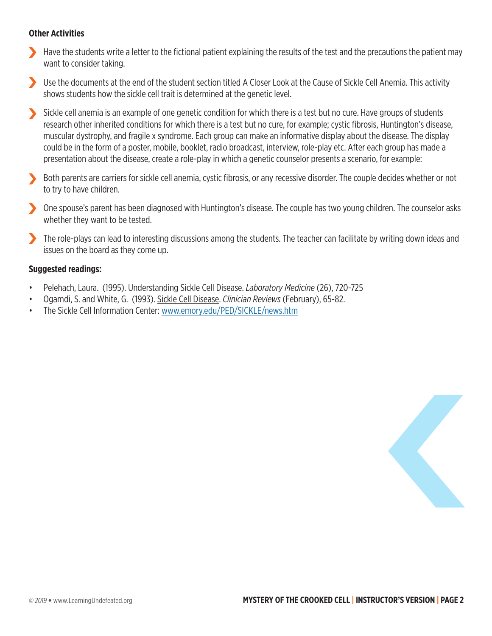### **Other Activities**

- Have the students write a letter to the fictional patient explaining the results of the test and the precautions the patient may want to consider taking.
- Use the documents at the end of the student section titled A Closer Look at the Cause of Sickle Cell Anemia. This activity shows students how the sickle cell trait is determined at the genetic level.
- Sickle cell anemia is an example of one genetic condition for which there is a test but no cure. Have groups of students research other inherited conditions for which there is a test but no cure, for example; cystic fibrosis, Huntington's disease, muscular dystrophy, and fragile x syndrome. Each group can make an informative display about the disease. The display could be in the form of a poster, mobile, booklet, radio broadcast, interview, role-play etc. After each group has made a presentation about the disease, create a role-play in which a genetic counselor presents a scenario, for example:
- Both parents are carriers for sickle cell anemia, cystic fibrosis, or any recessive disorder. The couple decides whether or not to try to have children.
- One spouse's parent has been diagnosed with Huntington's disease. The couple has two young children. The counselor asks whether they want to be tested.
- The role-plays can lead to interesting discussions among the students. The teacher can facilitate by writing down ideas and issues on the board as they come up.

### **Suggested readings:**

- Pelehach, Laura. (1995). Understanding Sickle Cell Disease. *Laboratory Medicine* (26), 720-725
- Ogamdi, S. and White, G. (1993). Sickle Cell Disease. *Clinician Reviews* (February), 65-82.
- The Sickle Cell Information Center: www.emory.edu/PED/SICKLE/news.htm

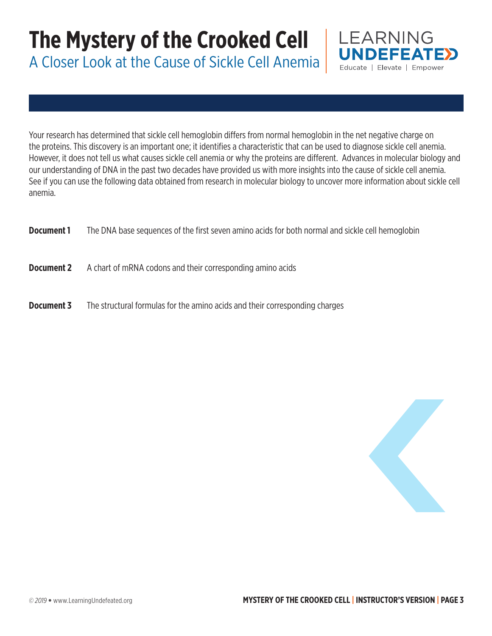A Closer Look at the Cause of Sickle Cell Anemia



Your research has determined that sickle cell hemoglobin differs from normal hemoglobin in the net negative charge on the proteins. This discovery is an important one; it identifies a characteristic that can be used to diagnose sickle cell anemia. However, it does not tell us what causes sickle cell anemia or why the proteins are different. Advances in molecular biology and our understanding of DNA in the past two decades have provided us with more insights into the cause of sickle cell anemia. See if you can use the following data obtained from research in molecular biology to uncover more information about sickle cell anemia.

| Document 1 | The DNA base sequences of the first seven amino acids for both normal and sickle cell hemoglobin |
|------------|--------------------------------------------------------------------------------------------------|
| Document 2 | A chart of mRNA codons and their corresponding amino acids                                       |
| Document 3 | The structural formulas for the amino acids and their corresponding charges                      |

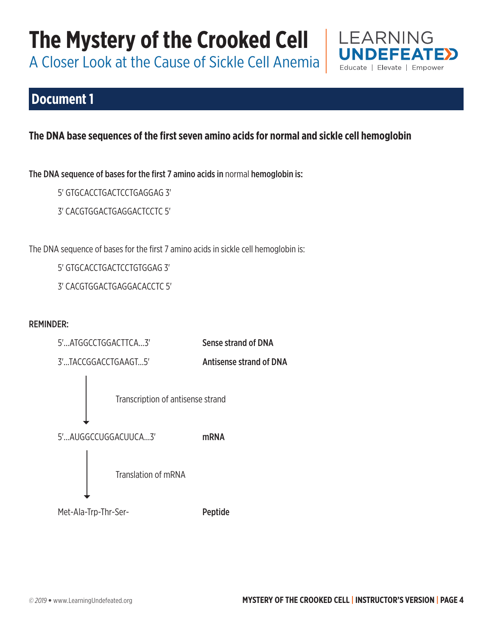A Closer Look at the Cause of Sickle Cell Anemia

## **Document 1**

## **The DNA base sequences of the first seven amino acids for normal and sickle cell hemoglobin**

The DNA sequence of bases for the first 7 amino acids in normal hemoglobin is:

- 5' GTGCACCTGACTCCTGAGGAG 3'
- 3' CACGTGGACTGAGGACTCCTC 5'

The DNA sequence of bases for the first 7 amino acids in sickle cell hemoglobin is:

5' GTGCACCTGACTCCTGTGGAG 3'

3' CACGTGGACTGAGGACACCTC 5'

### REMINDER:



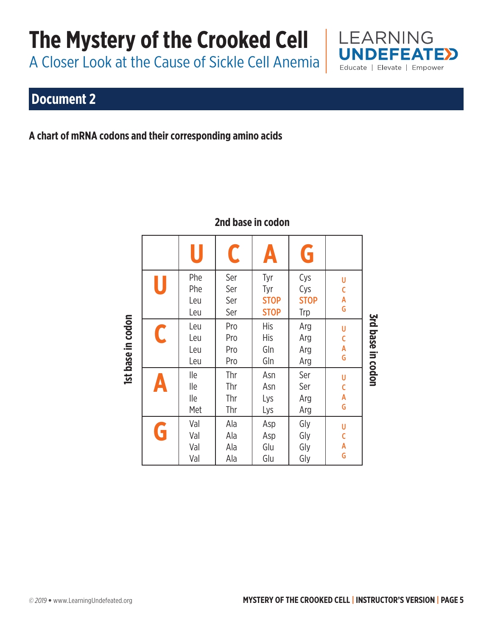# **The Mystery of the Crooked Cell | LEARNING**

A Closer Look at the Cause of Sickle Cell Anemia

# **Document 2**

**A chart of mRNA codons and their corresponding amino acids** 

|                   |   | U                        | C                        | Ą                                        | G                                |                             |                          |
|-------------------|---|--------------------------|--------------------------|------------------------------------------|----------------------------------|-----------------------------|--------------------------|
| Ist base in codon | U | Phe<br>Phe<br>Leu<br>Leu | Ser<br>Ser<br>Ser<br>Ser | Tyr<br>Tyr<br><b>STOP</b><br><b>STOP</b> | Cys<br>Cys<br><b>STOP</b><br>Trp | U<br>C<br>A<br>G            |                          |
|                   | C | Leu<br>Leu<br>Leu<br>Leu | Pro<br>Pro<br>Pro<br>Pro | <b>His</b><br>His<br>Gln<br>Gln          | Arg<br>Arg<br>Arg<br>Arg         | U<br>C<br>A<br>G            | <b>3rd base in codon</b> |
|                   | A | lle<br>lle<br>lle<br>Met | Thr<br>Thr<br>Thr<br>Thr | Asn<br>Asn<br>Lys<br>Lys                 | Ser<br>Ser<br>Arg<br>Arg         | U<br>$\mathsf{C}$<br>A<br>G |                          |
|                   | G | Val<br>Val<br>Val<br>Val | Ala<br>Ala<br>Ala<br>Ala | Asp<br>Asp<br>Glu<br>Glu                 | Gly<br>Gly<br>Gly<br>Gly         | U<br>C<br>Å<br>G            |                          |

## **2nd base in codon**